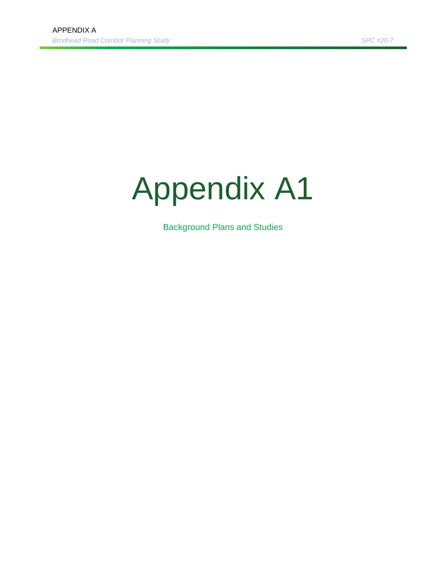# Appendix A1

Background Plans and Studies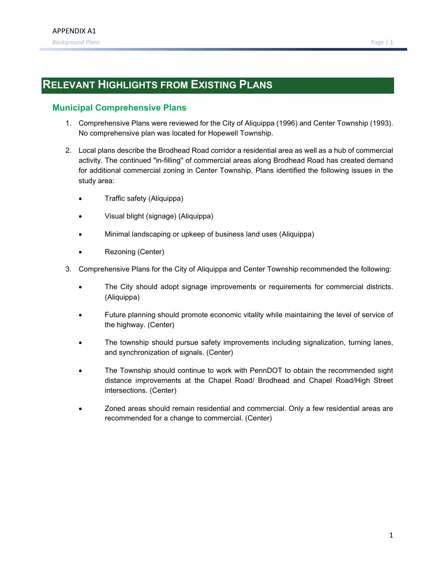# **RELEVANT HIGHLIGHTS FROM EXISTING PLANS**

# **Municipal Comprehensive Plans**

- 1. Comprehensive Plans were reviewed for the City of Aliquippa (1996) and Center Township (1993). No comprehensive plan was located for Hopewell Township.
- 2. Local plans describe the Brodhead Road corridor a residential area as well as a hub of commercial activity. The continued "in-filling'' of commercial areas along Brodhead Road has created demand for additional commercial zoning in Center Township. Plans identified the following issues in the study area:
	- Traffic safety (Aliquippa)
	- Visual blight (signage) (Aliquippa)
	- Minimal landscaping or upkeep of business land uses (Aliquippa)
	- Rezoning (Center)
- 3. Comprehensive Plans for the City of Aliquippa and Center Township recommended the following:
	- The City should adopt signage improvements or requirements for commercial districts. (Aliquippa)
	- Future planning should promote economic vitality while maintaining the level of service of the highway. (Center)
	- The township should pursue safety improvements including signalization, turning lanes, and synchronization of signals. (Center)
	- The Township should continue to work with PennDOT to obtain the recommended sight distance improvements at the Chapel Road/ Brodhead and Chapel Road/High Street intersections. (Center)
	- Zoned areas should remain residential and commercial. Only a few residential areas are recommended for a change to commercial. (Center)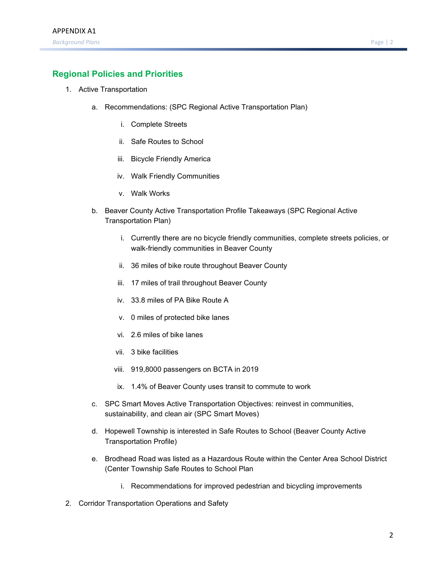# **Regional Policies and Priorities**

- 1. Active Transportation
	- a. Recommendations: (SPC Regional Active Transportation Plan)
		- i. Complete Streets
		- ii. Safe Routes to School
		- iii. Bicycle Friendly America
		- iv. Walk Friendly Communities
		- v. Walk Works
	- b. Beaver County Active Transportation Profile Takeaways (SPC Regional Active Transportation Plan)
		- i. Currently there are no bicycle friendly communities, complete streets policies, or walk-friendly communities in Beaver County
		- ii. 36 miles of bike route throughout Beaver County
		- iii. 17 miles of trail throughout Beaver County
		- iv. 33.8 miles of PA Bike Route A
		- v. 0 miles of protected bike lanes
		- vi. 2.6 miles of bike lanes
		- vii. 3 bike facilities
		- viii. 919,8000 passengers on BCTA in 2019
		- ix. 1.4% of Beaver County uses transit to commute to work
	- c. SPC Smart Moves Active Transportation Objectives: reinvest in communities, sustainability, and clean air (SPC Smart Moves)
	- d. Hopewell Township is interested in Safe Routes to School (Beaver County Active Transportation Profile)
	- e. Brodhead Road was listed as a Hazardous Route within the Center Area School District (Center Township Safe Routes to School Plan
		- i. Recommendations for improved pedestrian and bicycling improvements
- 2. Corridor Transportation Operations and Safety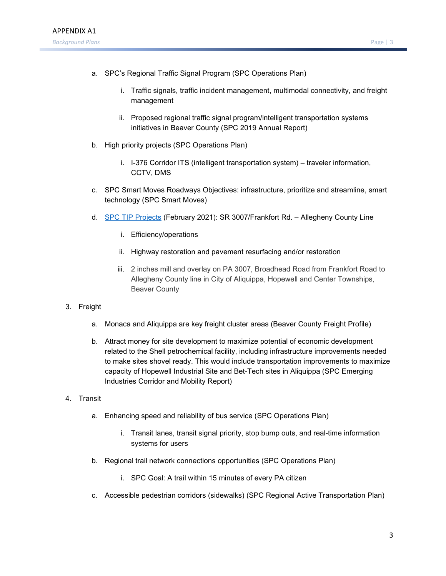- a. SPC's Regional Traffic Signal Program (SPC Operations Plan)
	- i. Traffic signals, traffic incident management, multimodal connectivity, and freight management
	- ii. Proposed regional traffic signal program/intelligent transportation systems initiatives in Beaver County (SPC 2019 Annual Report)
- b. High priority projects (SPC Operations Plan)
	- i. I-376 Corridor ITS (intelligent transportation system) traveler information, CCTV, DMS
- c. SPC Smart Moves Roadways Objectives: infrastructure, prioritize and streamline, smart technology (SPC Smart Moves)
- d. [SPC TIP Projects](https://spc.maps.arcgis.com/home/webmap/viewer.html?webmap=ca696cabd0e34891b86f182a18ba9d58&extent=-81.0788,39.7467,-77.8434,41.0933) (February 2021): SR 3007/Frankfort Rd. Allegheny County Line
	- i. Efficiency/operations
	- ii. Highway restoration and pavement resurfacing and/or restoration
	- iii. 2 inches mill and overlay on PA 3007, Broadhead Road from Frankfort Road to Allegheny County line in City of Aliquippa, Hopewell and Center Townships, Beaver County
- 3. Freight
	- a. Monaca and Aliquippa are key freight cluster areas (Beaver County Freight Profile)
	- b. Attract money for site development to maximize potential of economic development related to the Shell petrochemical facility, including infrastructure improvements needed to make sites shovel ready. This would include transportation improvements to maximize capacity of Hopewell Industrial Site and Bet-Tech sites in Aliquippa (SPC Emerging Industries Corridor and Mobility Report)
- 4. Transit
	- a. Enhancing speed and reliability of bus service (SPC Operations Plan)
		- i. Transit lanes, transit signal priority, stop bump outs, and real-time information systems for users
	- b. Regional trail network connections opportunities (SPC Operations Plan)
		- i. SPC Goal: A trail within 15 minutes of every PA citizen
	- c. Accessible pedestrian corridors (sidewalks) (SPC Regional Active Transportation Plan)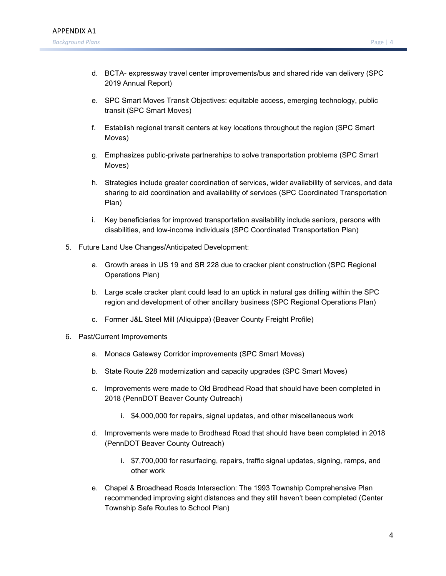- d. BCTA- expressway travel center improvements/bus and shared ride van delivery (SPC 2019 Annual Report)
- e. SPC Smart Moves Transit Objectives: equitable access, emerging technology, public transit (SPC Smart Moves)
- f. Establish regional transit centers at key locations throughout the region (SPC Smart Moves)
- g. Emphasizes public-private partnerships to solve transportation problems (SPC Smart Moves)
- h. Strategies include greater coordination of services, wider availability of services, and data sharing to aid coordination and availability of services (SPC Coordinated Transportation Plan)
- i. Key beneficiaries for improved transportation availability include seniors, persons with disabilities, and low-income individuals (SPC Coordinated Transportation Plan)
- 5. Future Land Use Changes/Anticipated Development:
	- a. Growth areas in US 19 and SR 228 due to cracker plant construction (SPC Regional Operations Plan)
	- b. Large scale cracker plant could lead to an uptick in natural gas drilling within the SPC region and development of other ancillary business (SPC Regional Operations Plan)
	- c. Former J&L Steel Mill (Aliquippa) (Beaver County Freight Profile)
- 6. Past/Current Improvements
	- a. Monaca Gateway Corridor improvements (SPC Smart Moves)
	- b. State Route 228 modernization and capacity upgrades (SPC Smart Moves)
	- c. Improvements were made to Old Brodhead Road that should have been completed in 2018 (PennDOT Beaver County Outreach)
		- i. \$4,000,000 for repairs, signal updates, and other miscellaneous work
	- d. Improvements were made to Brodhead Road that should have been completed in 2018 (PennDOT Beaver County Outreach)
		- i. \$7,700,000 for resurfacing, repairs, traffic signal updates, signing, ramps, and other work
	- e. Chapel & Broadhead Roads Intersection: The 1993 Township Comprehensive Plan recommended improving sight distances and they still haven't been completed (Center Township Safe Routes to School Plan)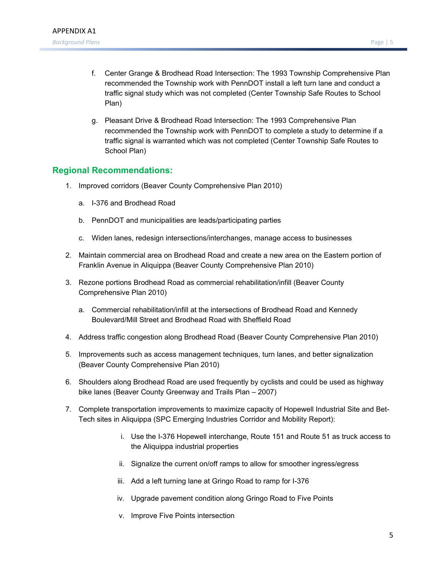- f. Center Grange & Brodhead Road Intersection: The 1993 Township Comprehensive Plan recommended the Township work with PennDOT install a left turn lane and conduct a traffic signal study which was not completed (Center Township Safe Routes to School Plan)
- g. Pleasant Drive & Brodhead Road Intersection: The 1993 Comprehensive Plan recommended the Township work with PennDOT to complete a study to determine if a traffic signal is warranted which was not completed (Center Township Safe Routes to School Plan)

### **Regional Recommendations:**

- 1. Improved corridors (Beaver County Comprehensive Plan 2010)
	- a. I-376 and Brodhead Road
	- b. PennDOT and municipalities are leads/participating parties
	- c. Widen lanes, redesign intersections/interchanges, manage access to businesses
- 2. Maintain commercial area on Brodhead Road and create a new area on the Eastern portion of Franklin Avenue in Aliquippa (Beaver County Comprehensive Plan 2010)
- 3. Rezone portions Brodhead Road as commercial rehabilitation/infill (Beaver County Comprehensive Plan 2010)
	- a. Commercial rehabilitation/infill at the intersections of Brodhead Road and Kennedy Boulevard/Mill Street and Brodhead Road with Sheffield Road
- 4. Address traffic congestion along Brodhead Road (Beaver County Comprehensive Plan 2010)
- 5. Improvements such as access management techniques, turn lanes, and better signalization (Beaver County Comprehensive Plan 2010)
- 6. Shoulders along Brodhead Road are used frequently by cyclists and could be used as highway bike lanes (Beaver County Greenway and Trails Plan – 2007)
- 7. Complete transportation improvements to maximize capacity of Hopewell Industrial Site and Bet-Tech sites in Aliquippa (SPC Emerging Industries Corridor and Mobility Report):
	- i. Use the I-376 Hopewell interchange, Route 151 and Route 51 as truck access to the Aliquippa industrial properties
	- ii. Signalize the current on/off ramps to allow for smoother ingress/egress
	- iii. Add a left turning lane at Gringo Road to ramp for I-376
	- iv. Upgrade pavement condition along Gringo Road to Five Points
	- v. Improve Five Points intersection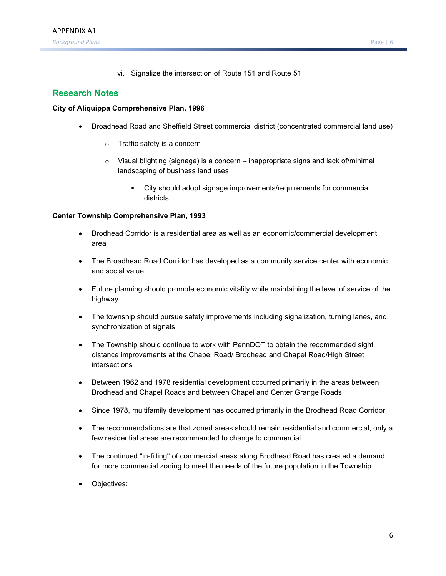vi. Signalize the intersection of Route 151 and Route 51

## **Research Notes**

#### **City of Aliquippa Comprehensive Plan, 1996**

- Broadhead Road and Sheffield Street commercial district (concentrated commercial land use)
	- o Traffic safety is a concern
	- $\circ$  Visual blighting (signage) is a concern inappropriate signs and lack of/minimal landscaping of business land uses
		- City should adopt signage improvements/requirements for commercial districts

#### **Center Township Comprehensive Plan, 1993**

- Brodhead Corridor is a residential area as well as an economic/commercial development area
- The Broadhead Road Corridor has developed as a community service center with economic and social value
- Future planning should promote economic vitality while maintaining the level of service of the highway
- The township should pursue safety improvements including signalization, turning lanes, and synchronization of signals
- The Township should continue to work with PennDOT to obtain the recommended sight distance improvements at the Chapel Road/ Brodhead and Chapel Road/High Street intersections
- Between 1962 and 1978 residential development occurred primarily in the areas between Brodhead and Chapel Roads and between Chapel and Center Grange Roads
- Since 1978, multifamily development has occurred primarily in the Brodhead Road Corridor
- The recommendations are that zoned areas should remain residential and commercial, only a few residential areas are recommended to change to commercial
- The continued "in-filling'' of commercial areas along Brodhead Road has created a demand for more commercial zoning to meet the needs of the future population in the Township
- Objectives: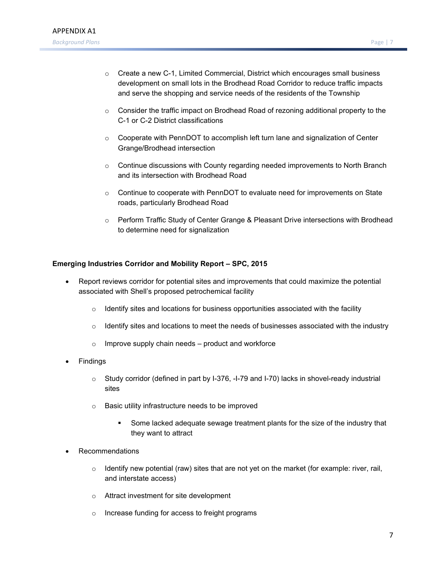- $\circ$  Create a new C-1, Limited Commercial, District which encourages small business [development on small lots in](https://www.spcregion.org/wp-content/uploads/2019/09/ROP_Final_2019.pdf) the Brodhead Road Corridor to reduce traffic impacts and serve the shopping and service needs of the residents of the Township
- $\circ$  Consider the traffic impact on Brodhead Road of rezoning additional property to the C-1 or C-2 District classifications
- $\circ$  Cooperate with PennDOT to accomplish left turn lane and signalization of Center Grange/Brodhead intersection
- $\circ$  Continue discussions with County regarding needed improvements to North Branch and its intersection with Brodhead Road
- $\circ$  Continue to cooperate with PennDOT to evaluate need for improvements on State roads, particularly Brodhead Road
- o Perform Traffic Study of Center Grange & Pleasant Drive intersections with Brodhead to determine need for signalization

#### **Emerging Industries Corridor and Mobility Report – SPC, 2015**

- Report reviews corridor for potential sites and improvements that could maximize the potential associated with Shell's proposed petrochemi[cal facility](https://www.atrc-spc.org/uploads/7/8/8/8/78882890/atp_for_southwestern_pa_april_2019.pdf)
	- $\circ$  [Identify sites and locations for business opportunities associated](https://www.atrc-spc.org/uploads/7/8/8/8/78882890/atp_for_southwestern_pa_april_2019.pdf) with the facility
	- $\circ$  Identify sites and locations to meet the needs of businesses associated with the industry
	- $\circ$  Improve supply chain needs product and workforce
- **Findings** 
	- o Study corridor (defined in part by I-376, -I-79 and I-70) lacks in shovel-ready industrial sites
	- o Basic utility infrastructure needs to be improved
		- Some lacked adequate sewage treatment plants for the size of the industry that they want to attract
- **Recommendations** 
	- $\circ$  Identify new potential (raw) sites that are not yet on the market (for example: river, rail, and interstate access)
	- o Attract investment for site develo[pment](https://www.atrc-spc.org/uploads/7/8/8/8/78882890/beco_profile_sheet_final_draft.pdf)
	- o [Increase funding for access to freight programs](https://www.atrc-spc.org/uploads/7/8/8/8/78882890/beco_profile_sheet_final_draft.pdf)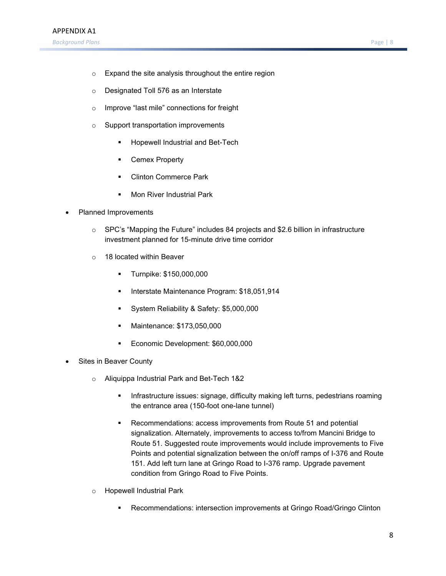- o Expand the site analysis throughout the entire region
- o Designated Toll 576 as an Interstate
- o Improve "last mile" connections for freight
- o Support transportation improvements
	- Hopewell Industrial and Bet-Tech
	- Cemex Property
	- Clinton Commerce Park
	- Mon River Industrial Park
- Planned Improvements
	- $\circ$  SPC's "Mapping the Future" includes 84 projects and \$2.6 billion in infrastructure investment planned for 15-minute drive time corridor
	- o 18 located within Beaver
		- Turnpike: \$150,000,000
		- **Interstate Maintenance Program: \$18,051,914**
		- System Reliability & Safety: \$5,000,000
		- **Mai[ntenance: \\$173,050,000](https://www.spcregion.org/wp-content/uploads/2020/01/2019AnnualReport.pdf)**
		- [Economic Development: \\$6](https://www.spcregion.org/wp-content/uploads/2020/01/2019AnnualReport.pdf)0,000,000
- Sites in Beaver County
	- o Aliquippa Industrial Park and Bet-Tech 1&2
		- Infrastructure issues: signage, difficulty making left turns, pedestrians roaming the entrance area (150-foot one-lane tunnel)
		- Recommendations: access improvements from Route 51 and potential [signalization. Alternately, improvements to access to/from Mancini Bridge to](https://www.spcregion.org/programs-services/transportation/smartmoves-long-range-plan-transportation-improvement-program/)  Route 51. [Suggested route improve](https://www.spcregion.org/programs-services/transportation/smartmoves-long-range-plan-transportation-improvement-program/)ments would include improvements to Five Points and potential signalization between the on/off ramps of I-376 and Route 151. Add left turn lane at Gringo Road to I-376 ramp. Upgrade pavement condition from Gringo Road to Five Points.
	- o Hopewell Industrial Park
		- Recommendations: intersection improvements at Gringo Road/Gringo Clinton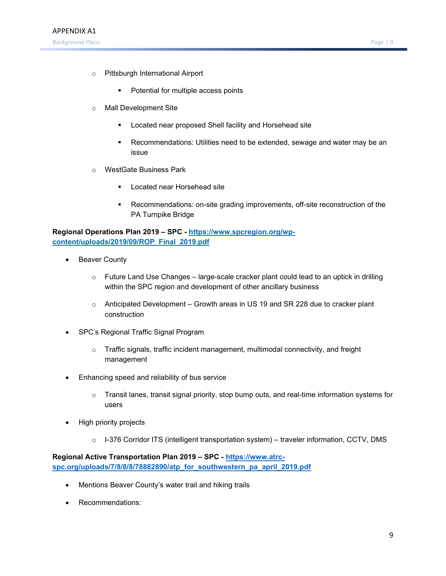- o Pittsburgh International Airport
	- Potential for multiple access points
- o Mall Development Site
	- Located near proposed Shell facility and Horsehead site
	- Recommendations: Utilities need to be extended, sewage and water may be an issue
- o [WestGate Business Park](https://www.spcregion.org/wp-content/uploads/2019/10/CTPReport.pdf)
	- Located near Horsehead site
	- Recommendations: on-site grading improvements, off-site reconstruction of the PA Turnpike Bridge

**Regional Operations Plan 2019 – SPC - https://www.spcregion.org/wpcontent/uploads/2019/09/ROP\_Final\_2019.pdf**

- Beaver County
	- $\circ$  Future Land Use Changes large-scale cracker plant could lead to an uptick in drilling within the SPC region and development of other ancillary business
	- o Anticipated Development Growth areas in US 19 and SR 228 due to cracker plant construction
- SPC's Regional Traffic Signal Program
	- $\circ$  Traffic signals, traffic incident management, multimodal connectivity, and freight management
- Enhancing speed and reliability of bus service
	- $\circ$  Transit lanes, transit signal priority, stop bump outs, and real-time information systems for users
- High priority projects
	- o I-376 Corridor ITS (intelligent transportation system) traveler information, CCTV, DMS

**Regional Active Transportation Plan 2019 – SPC - https://www.atrcspc.org/uploads/7/8/8/8/78882890/atp\_for\_southwestern\_pa\_april\_2019.pdf**

- Mentions Beaver County's water trail and hiking trails
- Recommendations: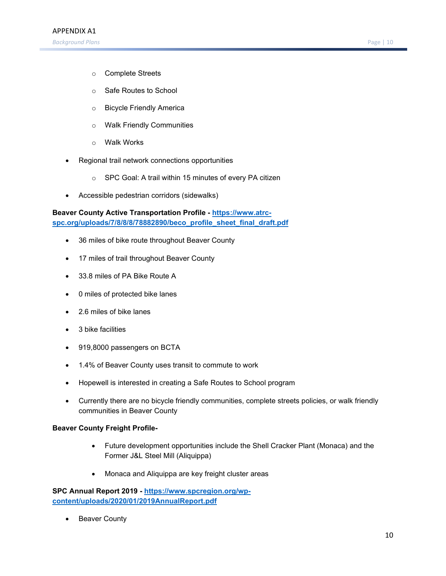- o Complete Streets
- o [Safe Routes to School](https://www.penndot.gov/RegionalOffices/district-11/Documents/2017BeaverCountyOutreach.pdf)
- o Bicycle Friendly America
- o Walk Friendly Communities
- o Walk Works
- Regional trail network connections opportunities
	- o SPC Goal: A trail within 15 minutes of every PA citizen
- Accessible pedestrian corridors (sidewalks)

**Beaver County Active Transportation Profile - https://www.atrcspc.org/uploads/7/8/8/8/78882890/beco\_profile\_sheet\_final\_draft.pdf**

- 36 miles of bike route throughout Beaver County
- 17 miles of trail throughout Beaver County
- 33.8 miles of PA Bike Route A
- 0 miles of protected bike lanes
- 2.6 miles of bike lanes
- 3 bike facilities
- 919,8000 passengers on BCTA
- 1.4% of Beaver County uses transit to commute to work
- Hopewell is interested in creating a Safe Routes to School program
- Currently there are no bicycle friendly communities, complete streets policies, or walk friendly communities in Beaver County

#### **Beaver County Freight Profile-**

- Future development opportunities include the Shell Cracker Plant (Monaca) and the Former J&L Steel Mill (Aliquippa)
- Monaca and Aliquippa are key freight cluster areas

**SPC Annual Report 2019 - https://www.spcregion.org/wpcontent/uploads/2020/01/2019AnnualReport.pdf**

**Beaver County**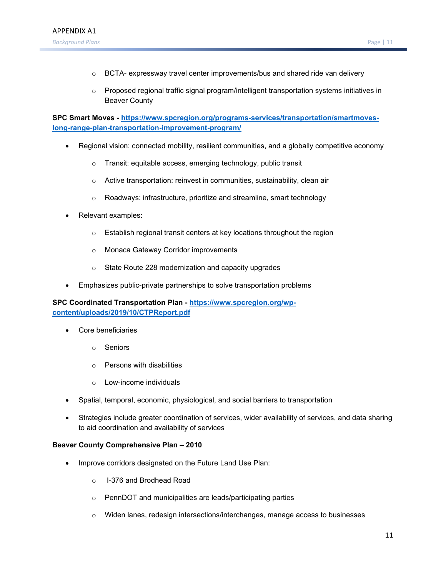- $\circ$  BCTA- expressway travel center improvements/bus and shared ride van delivery
- $\circ$  Proposed regional traffic signal program/intelligent transportation systems initiatives in Beaver County

**SPC Smart Moves - [https://www.spcregion.org/programs-services/transportation/smartmoves](https://www.spcregion.org/programs-services/transportation/smartmoves-long-range-plan-transportation-improvement-program/)[long-range-plan-transportation-improvement-program/](https://www.spcregion.org/programs-services/transportation/smartmoves-long-range-plan-transportation-improvement-program/)**

- Regional vision: connected mobility, resilient communities, and a globally competitive economy
	- o Transit: equitable access, emerging technology, public transit
	- o Active transportation: reinvest in communities, sustainability, clean air
	- o Roadways: infrastructure, prioritize and streamline, smart technology
- Relevant examples:
	- o Establish regional transit centers at key locations throughout the region
	- o Monaca Gateway Corridor improvements
	- o State Route 228 modernization and capacity upgrades
- Emphasizes public-private partnerships to solve transportation problems

**SPC Coordinated Transportation Plan - [https://www.spcregion.org/wp](https://www.spcregion.org/wp-content/uploads/2019/10/CTPReport.pdf)[content/uploads/2019/10/CTPReport.pdf](https://www.spcregion.org/wp-content/uploads/2019/10/CTPReport.pdf)**

- Core beneficiaries
	- o Seniors
	- o Persons with disabilities
	- o Low-income individuals
- Spatial, temporal, economic, physiological, and social barriers to transportation
- Strategies include greater coordination of services, wider availability of services, and data sharing to aid coordination and availability of services

#### **Beaver County Comprehensive Plan – 2010**

- Improve corridors designated on the Future Land Use Plan:
	- o I-376 and Brodhead Road
	- o PennDOT and municipalities are leads/participating parties
	- o Widen lanes, redesign intersections/interchanges, manage access to businesses